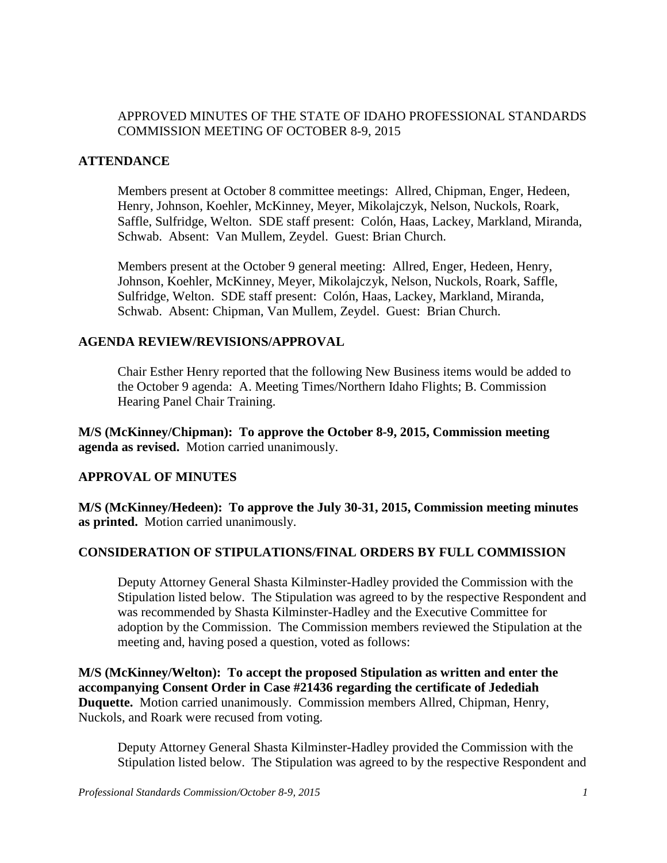# APPROVED MINUTES OF THE STATE OF IDAHO PROFESSIONAL STANDARDS COMMISSION MEETING OF OCTOBER 8-9, 2015

## **ATTENDANCE**

Members present at October 8 committee meetings: Allred, Chipman, Enger, Hedeen, Henry, Johnson, Koehler, McKinney, Meyer, Mikolajczyk, Nelson, Nuckols, Roark, Saffle, Sulfridge, Welton. SDE staff present: Colón, Haas, Lackey, Markland, Miranda, Schwab. Absent: Van Mullem, Zeydel. Guest: Brian Church.

Members present at the October 9 general meeting: Allred, Enger, Hedeen, Henry, Johnson, Koehler, McKinney, Meyer, Mikolajczyk, Nelson, Nuckols, Roark, Saffle, Sulfridge, Welton. SDE staff present: Colón, Haas, Lackey, Markland, Miranda, Schwab. Absent: Chipman, Van Mullem, Zeydel. Guest: Brian Church.

## **AGENDA REVIEW/REVISIONS/APPROVAL**

Chair Esther Henry reported that the following New Business items would be added to the October 9 agenda: A. Meeting Times/Northern Idaho Flights; B. Commission Hearing Panel Chair Training.

**M/S (McKinney/Chipman): To approve the October 8-9, 2015, Commission meeting agenda as revised.** Motion carried unanimously.

# **APPROVAL OF MINUTES**

**M/S (McKinney/Hedeen): To approve the July 30-31, 2015, Commission meeting minutes as printed.** Motion carried unanimously.

# **CONSIDERATION OF STIPULATIONS/FINAL ORDERS BY FULL COMMISSION**

Deputy Attorney General Shasta Kilminster-Hadley provided the Commission with the Stipulation listed below. The Stipulation was agreed to by the respective Respondent and was recommended by Shasta Kilminster-Hadley and the Executive Committee for adoption by the Commission. The Commission members reviewed the Stipulation at the meeting and, having posed a question, voted as follows:

**M/S (McKinney/Welton): To accept the proposed Stipulation as written and enter the accompanying Consent Order in Case #21436 regarding the certificate of Jedediah Duquette.** Motion carried unanimously. Commission members Allred, Chipman, Henry, Nuckols, and Roark were recused from voting.

Deputy Attorney General Shasta Kilminster-Hadley provided the Commission with the Stipulation listed below. The Stipulation was agreed to by the respective Respondent and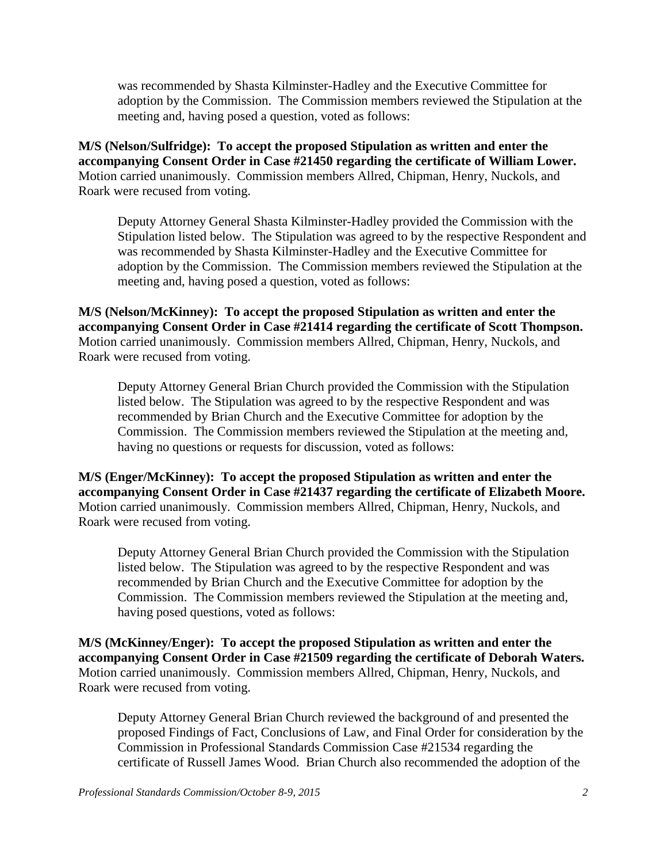was recommended by Shasta Kilminster-Hadley and the Executive Committee for adoption by the Commission. The Commission members reviewed the Stipulation at the meeting and, having posed a question, voted as follows:

**M/S (Nelson/Sulfridge): To accept the proposed Stipulation as written and enter the accompanying Consent Order in Case #21450 regarding the certificate of William Lower.**  Motion carried unanimously. Commission members Allred, Chipman, Henry, Nuckols, and Roark were recused from voting.

Deputy Attorney General Shasta Kilminster-Hadley provided the Commission with the Stipulation listed below. The Stipulation was agreed to by the respective Respondent and was recommended by Shasta Kilminster-Hadley and the Executive Committee for adoption by the Commission. The Commission members reviewed the Stipulation at the meeting and, having posed a question, voted as follows:

**M/S (Nelson/McKinney): To accept the proposed Stipulation as written and enter the accompanying Consent Order in Case #21414 regarding the certificate of Scott Thompson.**  Motion carried unanimously. Commission members Allred, Chipman, Henry, Nuckols, and Roark were recused from voting.

Deputy Attorney General Brian Church provided the Commission with the Stipulation listed below. The Stipulation was agreed to by the respective Respondent and was recommended by Brian Church and the Executive Committee for adoption by the Commission. The Commission members reviewed the Stipulation at the meeting and, having no questions or requests for discussion, voted as follows:

**M/S (Enger/McKinney): To accept the proposed Stipulation as written and enter the accompanying Consent Order in Case #21437 regarding the certificate of Elizabeth Moore.**  Motion carried unanimously. Commission members Allred, Chipman, Henry, Nuckols, and Roark were recused from voting.

Deputy Attorney General Brian Church provided the Commission with the Stipulation listed below. The Stipulation was agreed to by the respective Respondent and was recommended by Brian Church and the Executive Committee for adoption by the Commission. The Commission members reviewed the Stipulation at the meeting and, having posed questions, voted as follows:

**M/S (McKinney/Enger): To accept the proposed Stipulation as written and enter the accompanying Consent Order in Case #21509 regarding the certificate of Deborah Waters.**  Motion carried unanimously. Commission members Allred, Chipman, Henry, Nuckols, and Roark were recused from voting.

Deputy Attorney General Brian Church reviewed the background of and presented the proposed Findings of Fact, Conclusions of Law, and Final Order for consideration by the Commission in Professional Standards Commission Case #21534 regarding the certificate of Russell James Wood. Brian Church also recommended the adoption of the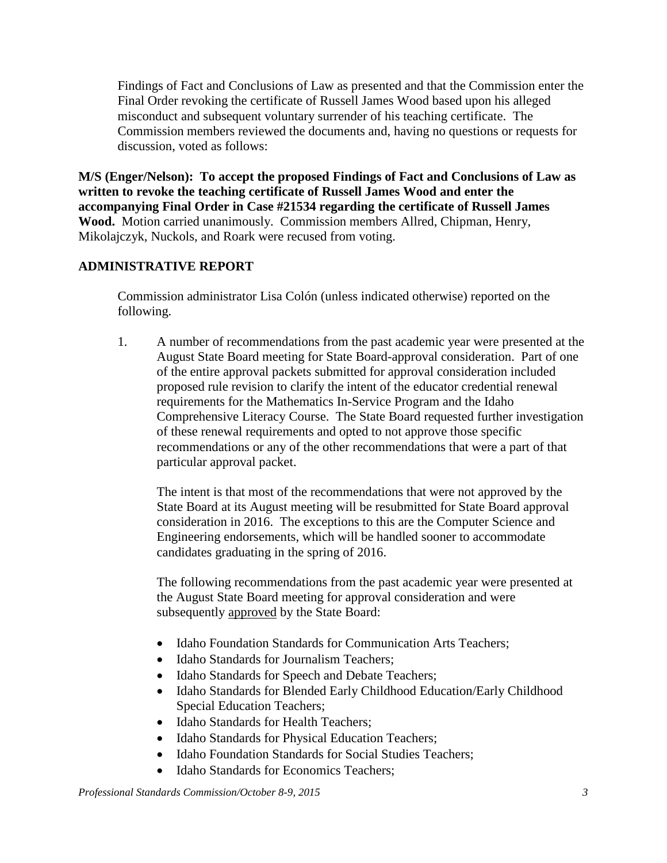Findings of Fact and Conclusions of Law as presented and that the Commission enter the Final Order revoking the certificate of Russell James Wood based upon his alleged misconduct and subsequent voluntary surrender of his teaching certificate. The Commission members reviewed the documents and, having no questions or requests for discussion, voted as follows:

**M/S (Enger/Nelson): To accept the proposed Findings of Fact and Conclusions of Law as written to revoke the teaching certificate of Russell James Wood and enter the accompanying Final Order in Case #21534 regarding the certificate of Russell James Wood.** Motion carried unanimously. Commission members Allred, Chipman, Henry, Mikolajczyk, Nuckols, and Roark were recused from voting.

# **ADMINISTRATIVE REPORT**

Commission administrator Lisa Colón (unless indicated otherwise) reported on the following.

1. A number of recommendations from the past academic year were presented at the August State Board meeting for State Board-approval consideration. Part of one of the entire approval packets submitted for approval consideration included proposed rule revision to clarify the intent of the educator credential renewal requirements for the Mathematics In-Service Program and the Idaho Comprehensive Literacy Course. The State Board requested further investigation of these renewal requirements and opted to not approve those specific recommendations or any of the other recommendations that were a part of that particular approval packet.

The intent is that most of the recommendations that were not approved by the State Board at its August meeting will be resubmitted for State Board approval consideration in 2016. The exceptions to this are the Computer Science and Engineering endorsements, which will be handled sooner to accommodate candidates graduating in the spring of 2016.

The following recommendations from the past academic year were presented at the August State Board meeting for approval consideration and were subsequently approved by the State Board:

- Idaho Foundation Standards for Communication Arts Teachers:
- Idaho Standards for Journalism Teachers;
- Idaho Standards for Speech and Debate Teachers;
- Idaho Standards for Blended Early Childhood Education/Early Childhood Special Education Teachers;
- Idaho Standards for Health Teachers;
- Idaho Standards for Physical Education Teachers;
- Idaho Foundation Standards for Social Studies Teachers;
- Idaho Standards for Economics Teachers;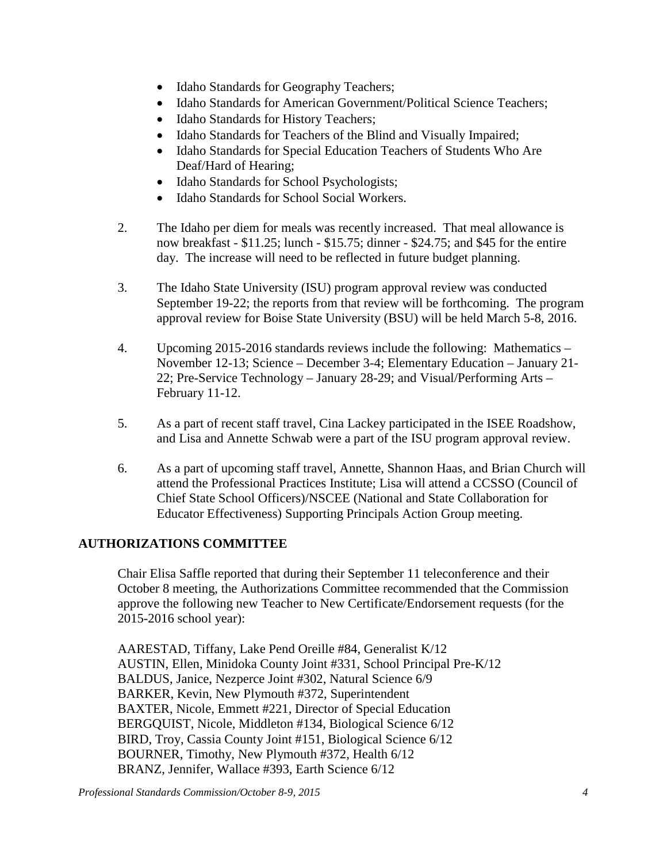- Idaho Standards for Geography Teachers;
- Idaho Standards for American Government/Political Science Teachers;
- Idaho Standards for History Teachers;
- Idaho Standards for Teachers of the Blind and Visually Impaired;
- Idaho Standards for Special Education Teachers of Students Who Are Deaf/Hard of Hearing;
- Idaho Standards for School Psychologists;
- Idaho Standards for School Social Workers.
- 2. The Idaho per diem for meals was recently increased. That meal allowance is now breakfast - \$11.25; lunch - \$15.75; dinner - \$24.75; and \$45 for the entire day. The increase will need to be reflected in future budget planning.
- 3. The Idaho State University (ISU) program approval review was conducted September 19-22; the reports from that review will be forthcoming. The program approval review for Boise State University (BSU) will be held March 5-8, 2016.
- 4. Upcoming 2015-2016 standards reviews include the following: Mathematics November 12-13; Science – December 3-4; Elementary Education – January 21- 22; Pre-Service Technology – January 28-29; and Visual/Performing Arts – February 11-12.
- 5. As a part of recent staff travel, Cina Lackey participated in the ISEE Roadshow, and Lisa and Annette Schwab were a part of the ISU program approval review.
- 6. As a part of upcoming staff travel, Annette, Shannon Haas, and Brian Church will attend the Professional Practices Institute; Lisa will attend a CCSSO (Council of Chief State School Officers)/NSCEE (National and State Collaboration for Educator Effectiveness) Supporting Principals Action Group meeting.

# **AUTHORIZATIONS COMMITTEE**

Chair Elisa Saffle reported that during their September 11 teleconference and their October 8 meeting, the Authorizations Committee recommended that the Commission approve the following new Teacher to New Certificate/Endorsement requests (for the 2015-2016 school year):

AARESTAD, Tiffany, Lake Pend Oreille #84, Generalist K/12 AUSTIN, Ellen, Minidoka County Joint #331, School Principal Pre-K/12 BALDUS, Janice, Nezperce Joint #302, Natural Science 6/9 BARKER, Kevin, New Plymouth #372, Superintendent BAXTER, Nicole, Emmett #221, Director of Special Education BERGQUIST, Nicole, Middleton #134, Biological Science 6/12 BIRD, Troy, Cassia County Joint #151, Biological Science 6/12 BOURNER, Timothy, New Plymouth #372, Health 6/12 BRANZ, Jennifer, Wallace #393, Earth Science 6/12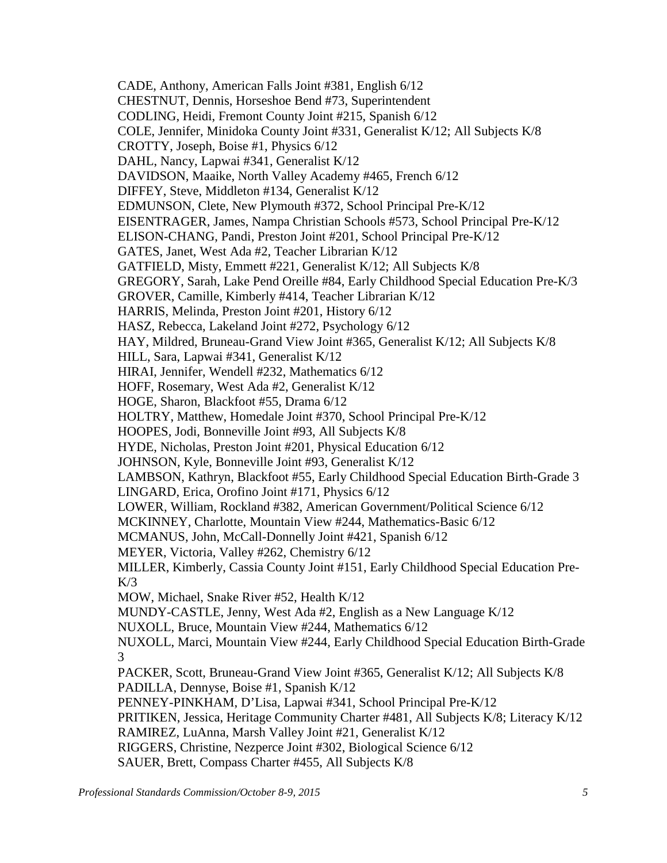CADE, Anthony, American Falls Joint #381, English 6/12 CHESTNUT, Dennis, Horseshoe Bend #73, Superintendent CODLING, Heidi, Fremont County Joint #215, Spanish 6/12 COLE, Jennifer, Minidoka County Joint #331, Generalist K/12; All Subjects K/8 CROTTY, Joseph, Boise #1, Physics 6/12 DAHL, Nancy, Lapwai #341, Generalist K/12 DAVIDSON, Maaike, North Valley Academy #465, French 6/12 DIFFEY, Steve, Middleton #134, Generalist K/12 EDMUNSON, Clete, New Plymouth #372, School Principal Pre-K/12 EISENTRAGER, James, Nampa Christian Schools #573, School Principal Pre-K/12 ELISON-CHANG, Pandi, Preston Joint #201, School Principal Pre-K/12 GATES, Janet, West Ada #2, Teacher Librarian K/12 GATFIELD, Misty, Emmett #221, Generalist K/12; All Subjects K/8 GREGORY, Sarah, Lake Pend Oreille #84, Early Childhood Special Education Pre-K/3 GROVER, Camille, Kimberly #414, Teacher Librarian K/12 HARRIS, Melinda, Preston Joint #201, History 6/12 HASZ, Rebecca, Lakeland Joint #272, Psychology 6/12 HAY, Mildred, Bruneau-Grand View Joint #365, Generalist K/12; All Subjects K/8 HILL, Sara, Lapwai #341, Generalist K/12 HIRAI, Jennifer, Wendell #232, Mathematics 6/12 HOFF, Rosemary, West Ada #2, Generalist K/12 HOGE, Sharon, Blackfoot #55, Drama 6/12 HOLTRY, Matthew, Homedale Joint #370, School Principal Pre-K/12 HOOPES, Jodi, Bonneville Joint #93, All Subjects K/8 HYDE, Nicholas, Preston Joint #201, Physical Education 6/12 JOHNSON, Kyle, Bonneville Joint #93, Generalist K/12 LAMBSON, Kathryn, Blackfoot #55, Early Childhood Special Education Birth-Grade 3 LINGARD, Erica, Orofino Joint #171, Physics 6/12 LOWER, William, Rockland #382, American Government/Political Science 6/12 MCKINNEY, Charlotte, Mountain View #244, Mathematics-Basic 6/12 MCMANUS, John, McCall-Donnelly Joint #421, Spanish 6/12 MEYER, Victoria, Valley #262, Chemistry 6/12 MILLER, Kimberly, Cassia County Joint #151, Early Childhood Special Education Pre- $K/3$ MOW, Michael, Snake River #52, Health K/12 MUNDY-CASTLE, Jenny, West Ada #2, English as a New Language K/12 NUXOLL, Bruce, Mountain View #244, Mathematics 6/12 NUXOLL, Marci, Mountain View #244, Early Childhood Special Education Birth-Grade 3 PACKER, Scott, Bruneau-Grand View Joint #365, Generalist K/12; All Subjects K/8 PADILLA, Dennyse, Boise #1, Spanish K/12 PENNEY-PINKHAM, D'Lisa, Lapwai #341, School Principal Pre-K/12 PRITIKEN, Jessica, Heritage Community Charter #481, All Subjects K/8; Literacy K/12 RAMIREZ, LuAnna, Marsh Valley Joint #21, Generalist K/12 RIGGERS, Christine, Nezperce Joint #302, Biological Science 6/12 SAUER, Brett, Compass Charter #455, All Subjects K/8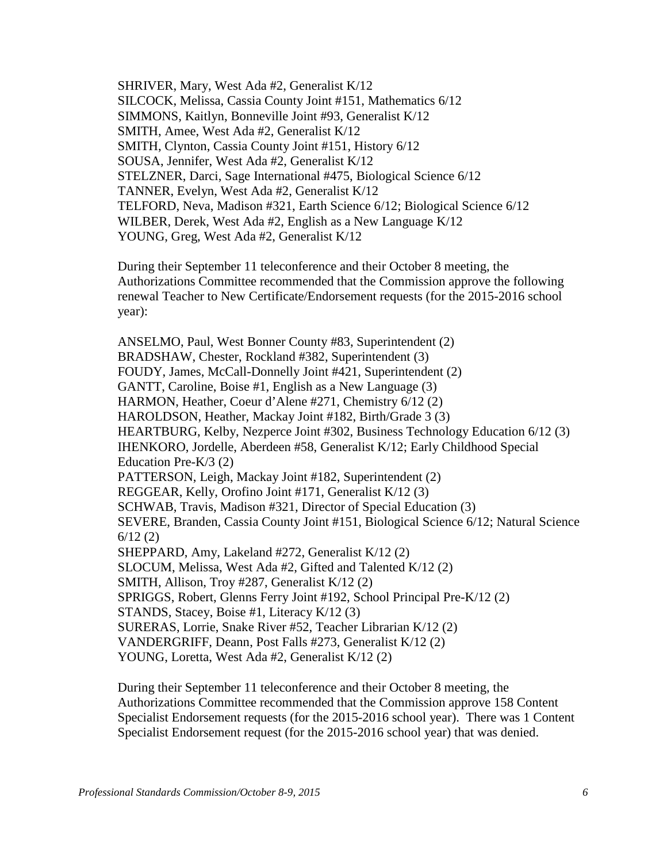SHRIVER, Mary, West Ada #2, Generalist K/12 SILCOCK, Melissa, Cassia County Joint #151, Mathematics 6/12 SIMMONS, Kaitlyn, Bonneville Joint #93, Generalist K/12 SMITH, Amee, West Ada #2, Generalist K/12 SMITH, Clynton, Cassia County Joint #151, History 6/12 SOUSA, Jennifer, West Ada #2, Generalist K/12 STELZNER, Darci, Sage International #475, Biological Science 6/12 TANNER, Evelyn, West Ada #2, Generalist K/12 TELFORD, Neva, Madison #321, Earth Science 6/12; Biological Science 6/12 WILBER, Derek, West Ada #2, English as a New Language K/12 YOUNG, Greg, West Ada #2, Generalist K/12

During their September 11 teleconference and their October 8 meeting, the Authorizations Committee recommended that the Commission approve the following renewal Teacher to New Certificate/Endorsement requests (for the 2015-2016 school year):

ANSELMO, Paul, West Bonner County #83, Superintendent (2) BRADSHAW, Chester, Rockland #382, Superintendent (3) FOUDY, James, McCall-Donnelly Joint #421, Superintendent (2) GANTT, Caroline, Boise #1, English as a New Language (3) HARMON, Heather, Coeur d'Alene #271, Chemistry 6/12 (2) HAROLDSON, Heather, Mackay Joint #182, Birth/Grade 3 (3) HEARTBURG, Kelby, Nezperce Joint #302, Business Technology Education 6/12 (3) IHENKORO, Jordelle, Aberdeen #58, Generalist K/12; Early Childhood Special Education Pre-K/3 (2) PATTERSON, Leigh, Mackay Joint #182, Superintendent (2) REGGEAR, Kelly, Orofino Joint #171, Generalist K/12 (3) SCHWAB, Travis, Madison #321, Director of Special Education (3) SEVERE, Branden, Cassia County Joint #151, Biological Science 6/12; Natural Science 6/12 (2) SHEPPARD, Amy, Lakeland #272, Generalist K/12 (2) SLOCUM, Melissa, West Ada #2, Gifted and Talented K/12 (2) SMITH, Allison, Troy #287, Generalist K/12 (2) SPRIGGS, Robert, Glenns Ferry Joint #192, School Principal Pre-K/12 (2) STANDS, Stacey, Boise #1, Literacy K/12 (3) SURERAS, Lorrie, Snake River #52, Teacher Librarian K/12 (2) VANDERGRIFF, Deann, Post Falls #273, Generalist K/12 (2) YOUNG, Loretta, West Ada #2, Generalist K/12 (2)

During their September 11 teleconference and their October 8 meeting, the Authorizations Committee recommended that the Commission approve 158 Content Specialist Endorsement requests (for the 2015-2016 school year). There was 1 Content Specialist Endorsement request (for the 2015-2016 school year) that was denied.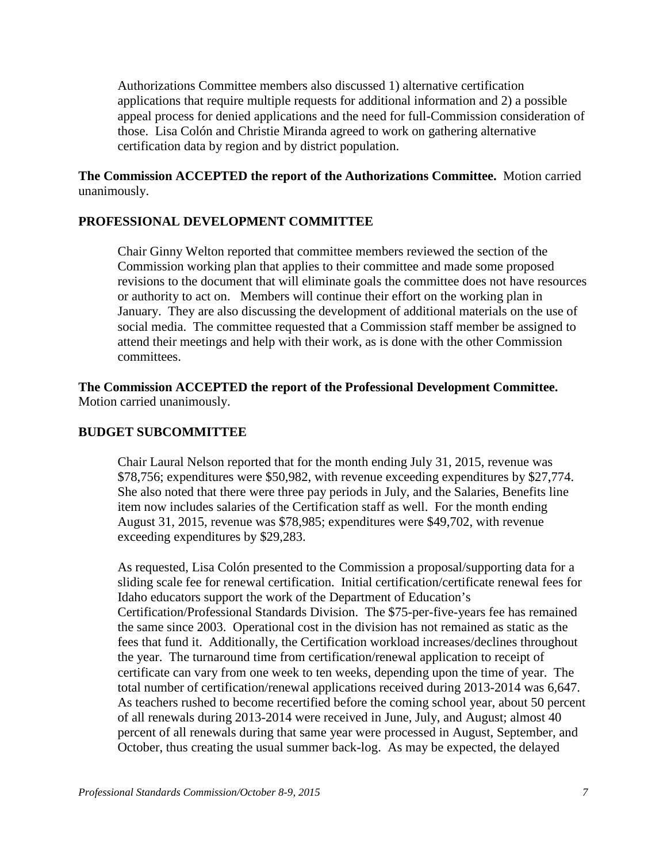Authorizations Committee members also discussed 1) alternative certification applications that require multiple requests for additional information and 2) a possible appeal process for denied applications and the need for full-Commission consideration of those. Lisa Colón and Christie Miranda agreed to work on gathering alternative certification data by region and by district population.

**The Commission ACCEPTED the report of the Authorizations Committee.** Motion carried unanimously.

## **PROFESSIONAL DEVELOPMENT COMMITTEE**

Chair Ginny Welton reported that committee members reviewed the section of the Commission working plan that applies to their committee and made some proposed revisions to the document that will eliminate goals the committee does not have resources or authority to act on. Members will continue their effort on the working plan in January. They are also discussing the development of additional materials on the use of social media. The committee requested that a Commission staff member be assigned to attend their meetings and help with their work, as is done with the other Commission committees.

**The Commission ACCEPTED the report of the Professional Development Committee.**  Motion carried unanimously.

## **BUDGET SUBCOMMITTEE**

Chair Laural Nelson reported that for the month ending July 31, 2015, revenue was \$78,756; expenditures were \$50,982, with revenue exceeding expenditures by \$27,774. She also noted that there were three pay periods in July, and the Salaries, Benefits line item now includes salaries of the Certification staff as well. For the month ending August 31, 2015, revenue was \$78,985; expenditures were \$49,702, with revenue exceeding expenditures by \$29,283.

As requested, Lisa Colón presented to the Commission a proposal/supporting data for a sliding scale fee for renewal certification. Initial certification/certificate renewal fees for Idaho educators support the work of the Department of Education's Certification/Professional Standards Division. The \$75-per-five-years fee has remained the same since 2003. Operational cost in the division has not remained as static as the fees that fund it. Additionally, the Certification workload increases/declines throughout the year. The turnaround time from certification/renewal application to receipt of certificate can vary from one week to ten weeks, depending upon the time of year. The total number of certification/renewal applications received during 2013-2014 was 6,647. As teachers rushed to become recertified before the coming school year, about 50 percent of all renewals during 2013-2014 were received in June, July, and August; almost 40 percent of all renewals during that same year were processed in August, September, and October, thus creating the usual summer back-log. As may be expected, the delayed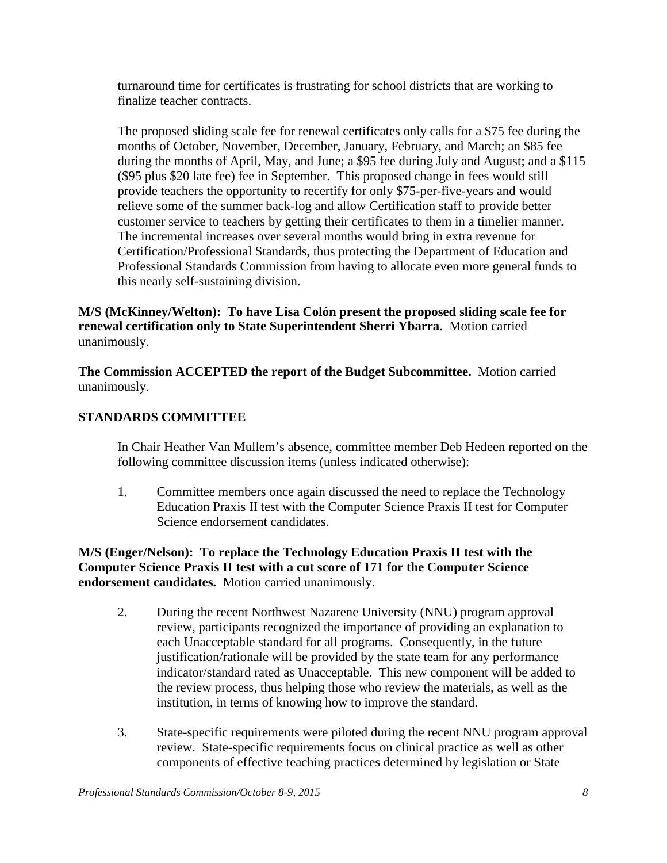turnaround time for certificates is frustrating for school districts that are working to finalize teacher contracts.

The proposed sliding scale fee for renewal certificates only calls for a \$75 fee during the months of October, November, December, January, February, and March; an \$85 fee during the months of April, May, and June; a \$95 fee during July and August; and a \$115 (\$95 plus \$20 late fee) fee in September. This proposed change in fees would still provide teachers the opportunity to recertify for only \$75-per-five-years and would relieve some of the summer back-log and allow Certification staff to provide better customer service to teachers by getting their certificates to them in a timelier manner. The incremental increases over several months would bring in extra revenue for Certification/Professional Standards, thus protecting the Department of Education and Professional Standards Commission from having to allocate even more general funds to this nearly self-sustaining division.

**M/S (McKinney/Welton): To have Lisa Colón present the proposed sliding scale fee for renewal certification only to State Superintendent Sherri Ybarra.** Motion carried unanimously.

**The Commission ACCEPTED the report of the Budget Subcommittee.** Motion carried unanimously.

# **STANDARDS COMMITTEE**

In Chair Heather Van Mullem's absence, committee member Deb Hedeen reported on the following committee discussion items (unless indicated otherwise):

1. Committee members once again discussed the need to replace the Technology Education Praxis II test with the Computer Science Praxis II test for Computer Science endorsement candidates.

**M/S (Enger/Nelson): To replace the Technology Education Praxis II test with the Computer Science Praxis II test with a cut score of 171 for the Computer Science endorsement candidates.** Motion carried unanimously.

- 2. During the recent Northwest Nazarene University (NNU) program approval review, participants recognized the importance of providing an explanation to each Unacceptable standard for all programs. Consequently, in the future justification/rationale will be provided by the state team for any performance indicator/standard rated as Unacceptable. This new component will be added to the review process, thus helping those who review the materials, as well as the institution, in terms of knowing how to improve the standard.
- 3. State-specific requirements were piloted during the recent NNU program approval review. State-specific requirements focus on clinical practice as well as other components of effective teaching practices determined by legislation or State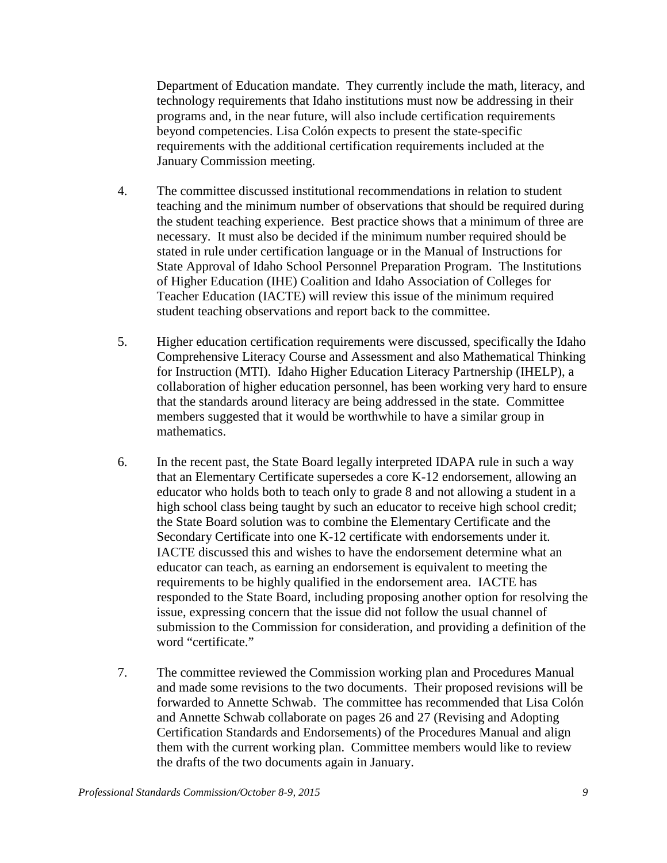Department of Education mandate. They currently include the math, literacy, and technology requirements that Idaho institutions must now be addressing in their programs and, in the near future, will also include certification requirements beyond competencies. Lisa Colón expects to present the state-specific requirements with the additional certification requirements included at the January Commission meeting.

- 4. The committee discussed institutional recommendations in relation to student teaching and the minimum number of observations that should be required during the student teaching experience. Best practice shows that a minimum of three are necessary. It must also be decided if the minimum number required should be stated in rule under certification language or in the Manual of Instructions for State Approval of Idaho School Personnel Preparation Program. The Institutions of Higher Education (IHE) Coalition and Idaho Association of Colleges for Teacher Education (IACTE) will review this issue of the minimum required student teaching observations and report back to the committee.
- 5. Higher education certification requirements were discussed, specifically the Idaho Comprehensive Literacy Course and Assessment and also Mathematical Thinking for Instruction (MTI). Idaho Higher Education Literacy Partnership (IHELP), a collaboration of higher education personnel, has been working very hard to ensure that the standards around literacy are being addressed in the state. Committee members suggested that it would be worthwhile to have a similar group in mathematics.
- 6. In the recent past, the State Board legally interpreted IDAPA rule in such a way that an Elementary Certificate supersedes a core K-12 endorsement, allowing an educator who holds both to teach only to grade 8 and not allowing a student in a high school class being taught by such an educator to receive high school credit; the State Board solution was to combine the Elementary Certificate and the Secondary Certificate into one K-12 certificate with endorsements under it. IACTE discussed this and wishes to have the endorsement determine what an educator can teach, as earning an endorsement is equivalent to meeting the requirements to be highly qualified in the endorsement area. IACTE has responded to the State Board, including proposing another option for resolving the issue, expressing concern that the issue did not follow the usual channel of submission to the Commission for consideration, and providing a definition of the word "certificate."
- 7. The committee reviewed the Commission working plan and Procedures Manual and made some revisions to the two documents. Their proposed revisions will be forwarded to Annette Schwab. The committee has recommended that Lisa Colón and Annette Schwab collaborate on pages 26 and 27 (Revising and Adopting Certification Standards and Endorsements) of the Procedures Manual and align them with the current working plan. Committee members would like to review the drafts of the two documents again in January.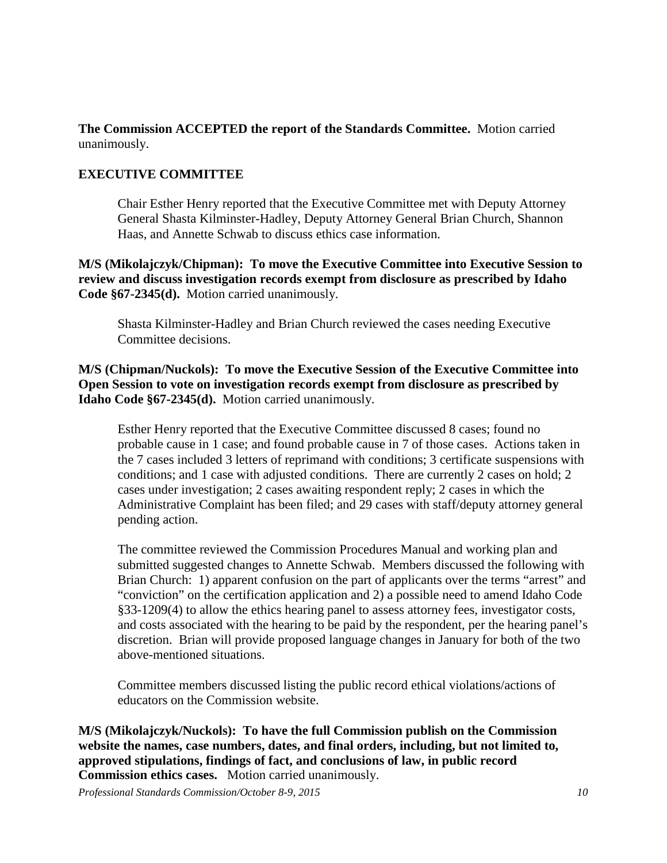**The Commission ACCEPTED the report of the Standards Committee.** Motion carried unanimously.

# **EXECUTIVE COMMITTEE**

Chair Esther Henry reported that the Executive Committee met with Deputy Attorney General Shasta Kilminster-Hadley, Deputy Attorney General Brian Church, Shannon Haas, and Annette Schwab to discuss ethics case information.

**M/S (Mikolajczyk/Chipman): To move the Executive Committee into Executive Session to review and discuss investigation records exempt from disclosure as prescribed by Idaho Code §67-2345(d).** Motion carried unanimously.

Shasta Kilminster-Hadley and Brian Church reviewed the cases needing Executive Committee decisions.

**M/S (Chipman/Nuckols): To move the Executive Session of the Executive Committee into Open Session to vote on investigation records exempt from disclosure as prescribed by Idaho Code §67-2345(d).** Motion carried unanimously.

Esther Henry reported that the Executive Committee discussed 8 cases; found no probable cause in 1 case; and found probable cause in 7 of those cases. Actions taken in the 7 cases included 3 letters of reprimand with conditions; 3 certificate suspensions with conditions; and 1 case with adjusted conditions. There are currently 2 cases on hold; 2 cases under investigation; 2 cases awaiting respondent reply; 2 cases in which the Administrative Complaint has been filed; and 29 cases with staff/deputy attorney general pending action.

The committee reviewed the Commission Procedures Manual and working plan and submitted suggested changes to Annette Schwab. Members discussed the following with Brian Church: 1) apparent confusion on the part of applicants over the terms "arrest" and "conviction" on the certification application and 2) a possible need to amend Idaho Code §33-1209(4) to allow the ethics hearing panel to assess attorney fees, investigator costs, and costs associated with the hearing to be paid by the respondent, per the hearing panel's discretion. Brian will provide proposed language changes in January for both of the two above-mentioned situations.

Committee members discussed listing the public record ethical violations/actions of educators on the Commission website.

**M/S (Mikolajczyk/Nuckols): To have the full Commission publish on the Commission website the names, case numbers, dates, and final orders, including, but not limited to, approved stipulations, findings of fact, and conclusions of law, in public record Commission ethics cases.** Motion carried unanimously.

*Professional Standards Commission/October 8-9, 2015 10*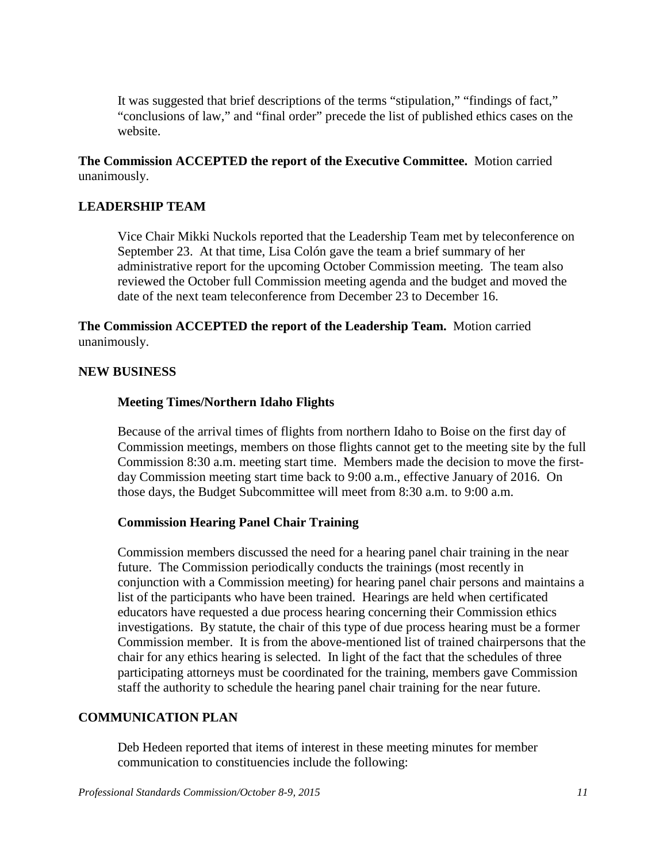It was suggested that brief descriptions of the terms "stipulation," "findings of fact," "conclusions of law," and "final order" precede the list of published ethics cases on the website.

**The Commission ACCEPTED the report of the Executive Committee.** Motion carried unanimously.

## **LEADERSHIP TEAM**

Vice Chair Mikki Nuckols reported that the Leadership Team met by teleconference on September 23. At that time, Lisa Colón gave the team a brief summary of her administrative report for the upcoming October Commission meeting. The team also reviewed the October full Commission meeting agenda and the budget and moved the date of the next team teleconference from December 23 to December 16.

**The Commission ACCEPTED the report of the Leadership Team.** Motion carried unanimously.

#### **NEW BUSINESS**

### **Meeting Times/Northern Idaho Flights**

Because of the arrival times of flights from northern Idaho to Boise on the first day of Commission meetings, members on those flights cannot get to the meeting site by the full Commission 8:30 a.m. meeting start time. Members made the decision to move the firstday Commission meeting start time back to 9:00 a.m., effective January of 2016. On those days, the Budget Subcommittee will meet from 8:30 a.m. to 9:00 a.m.

#### **Commission Hearing Panel Chair Training**

Commission members discussed the need for a hearing panel chair training in the near future. The Commission periodically conducts the trainings (most recently in conjunction with a Commission meeting) for hearing panel chair persons and maintains a list of the participants who have been trained. Hearings are held when certificated educators have requested a due process hearing concerning their Commission ethics investigations. By statute, the chair of this type of due process hearing must be a former Commission member. It is from the above-mentioned list of trained chairpersons that the chair for any ethics hearing is selected. In light of the fact that the schedules of three participating attorneys must be coordinated for the training, members gave Commission staff the authority to schedule the hearing panel chair training for the near future.

### **COMMUNICATION PLAN**

Deb Hedeen reported that items of interest in these meeting minutes for member communication to constituencies include the following: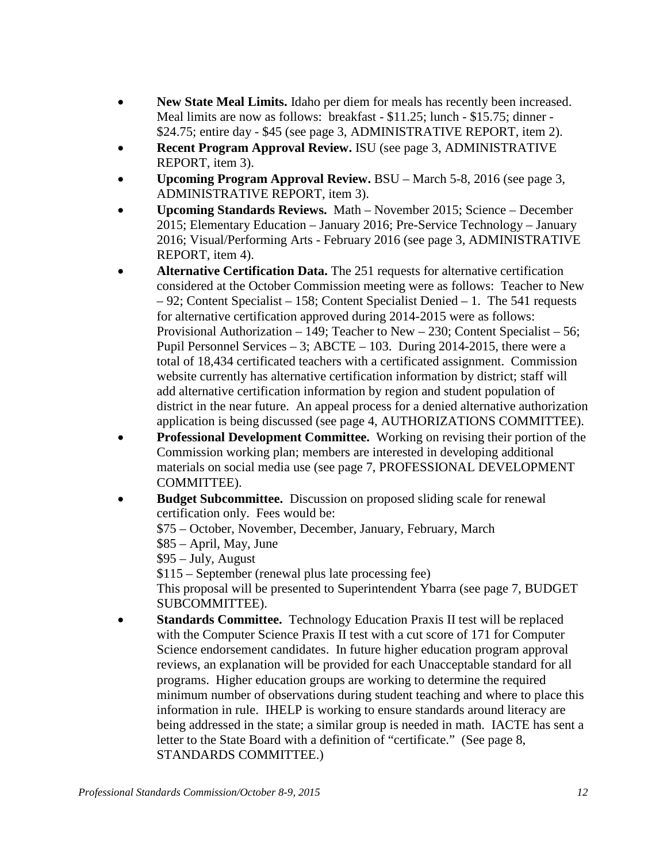- **New State Meal Limits.** Idaho per diem for meals has recently been increased. Meal limits are now as follows: breakfast - \$11.25; lunch - \$15.75; dinner -\$24.75; entire day - \$45 (see page 3, ADMINISTRATIVE REPORT, item 2).
- **Recent Program Approval Review.** ISU (see page 3, ADMINISTRATIVE REPORT, item 3).
- **Upcoming Program Approval Review.** BSU March 5-8, 2016 (see page 3, ADMINISTRATIVE REPORT, item 3).
- **Upcoming Standards Reviews.** Math November 2015; Science December 2015; Elementary Education – January 2016; Pre-Service Technology – January 2016; Visual/Performing Arts - February 2016 (see page 3, ADMINISTRATIVE REPORT, item 4).
- **Alternative Certification Data.** The 251 requests for alternative certification considered at the October Commission meeting were as follows: Teacher to New – 92; Content Specialist – 158; Content Specialist Denied – 1. The 541 requests for alternative certification approved during 2014-2015 were as follows: Provisional Authorization – 149; Teacher to New – 230; Content Specialist – 56; Pupil Personnel Services – 3; ABCTE – 103. During 2014-2015, there were a total of 18,434 certificated teachers with a certificated assignment. Commission website currently has alternative certification information by district; staff will add alternative certification information by region and student population of district in the near future. An appeal process for a denied alternative authorization application is being discussed (see page 4, AUTHORIZATIONS COMMITTEE).
- **Professional Development Committee.** Working on revising their portion of the Commission working plan; members are interested in developing additional materials on social media use (see page 7, PROFESSIONAL DEVELOPMENT COMMITTEE).
- **Budget Subcommittee.** Discussion on proposed sliding scale for renewal certification only. Fees would be: \$75 – October, November, December, January, February, March \$85 – April, May, June \$95 – July, August \$115 – September (renewal plus late processing fee) This proposal will be presented to Superintendent Ybarra (see page 7, BUDGET SUBCOMMITTEE). • **Standards Committee.** Technology Education Praxis II test will be replaced
- with the Computer Science Praxis II test with a cut score of 171 for Computer Science endorsement candidates. In future higher education program approval reviews, an explanation will be provided for each Unacceptable standard for all programs. Higher education groups are working to determine the required minimum number of observations during student teaching and where to place this information in rule. IHELP is working to ensure standards around literacy are being addressed in the state; a similar group is needed in math. IACTE has sent a letter to the State Board with a definition of "certificate." (See page 8, STANDARDS COMMITTEE.)